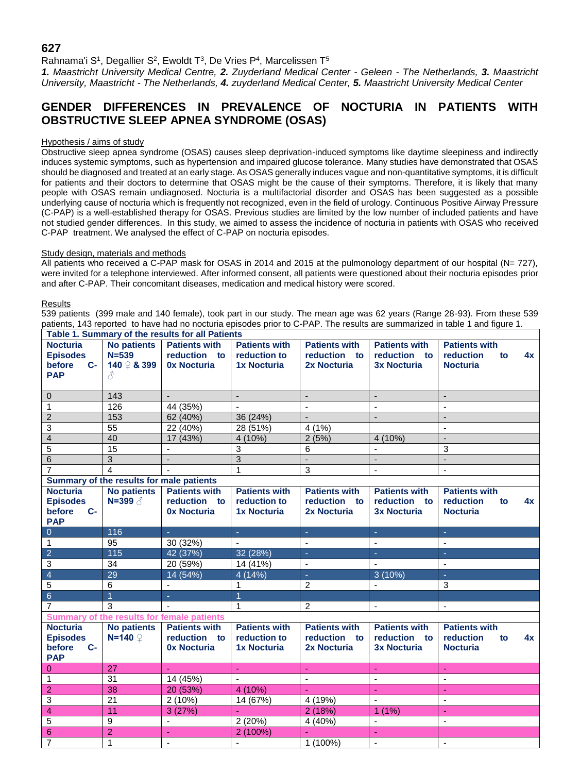# **627**

Rahnama'i S<sup>1</sup>, Degallier S<sup>2</sup>, Ewoldt T<sup>3</sup>, De Vries P<sup>4</sup>, Marcelissen T<sup>5</sup>

*1. Maastricht University Medical Centre, 2. Zuyderland Medical Center - Geleen - The Netherlands, 3. Maastricht University, Maastricht - The Netherlands, 4. zuyderland Medical Center, 5. Maastricht University Medical Center*

# **GENDER DIFFERENCES IN PREVALENCE OF NOCTURIA IN PATIENTS WITH OBSTRUCTIVE SLEEP APNEA SYNDROME (OSAS)**

# Hypothesis / aims of study

Obstructive sleep apnea syndrome (OSAS) causes sleep deprivation-induced symptoms like daytime sleepiness and indirectly induces systemic symptoms, such as hypertension and impaired glucose tolerance. Many studies have demonstrated that OSAS should be diagnosed and treated at an early stage. As OSAS generally induces vague and non-quantitative symptoms, it is difficult for patients and their doctors to determine that OSAS might be the cause of their symptoms. Therefore, it is likely that many people with OSAS remain undiagnosed. Nocturia is a multifactorial disorder and OSAS has been suggested as a possible underlying cause of nocturia which is frequently not recognized, even in the field of urology. Continuous Positive Airway Pressure (C-PAP) is a well-established therapy for OSAS. Previous studies are limited by the low number of included patients and have not studied gender differences. In this study, we aimed to assess the incidence of nocturia in patients with OSAS who received C-PAP treatment. We analysed the effect of C-PAP on nocturia episodes.

## Study design, materials and methods

All patients who received a C-PAP mask for OSAS in 2014 and 2015 at the pulmonology department of our hospital (N= 727), were invited for a telephone interviewed. After informed consent, all patients were questioned about their nocturia episodes prior and after C-PAP. Their concomitant diseases, medication and medical history were scored.

## **Results**

539 patients (399 male and 140 female), took part in our study. The mean age was 62 years (Range 28-93). From these 539 patients, 143 reported to have had no nocturia episodes prior to C-PAP. The results are summarized in table 1 and figure 1.

| Table 1. Summary of the results for all Patients |                                |                      |                          |                          |                          |                          |
|--------------------------------------------------|--------------------------------|----------------------|--------------------------|--------------------------|--------------------------|--------------------------|
| <b>Nocturia</b>                                  | <b>No patients</b>             | <b>Patients with</b> | <b>Patients with</b>     | <b>Patients with</b>     | <b>Patients with</b>     | <b>Patients with</b>     |
| <b>Episodes</b>                                  | $N = 539$                      | reduction to         | reduction to             | reduction to             | reduction to             | reduction<br>4x<br>to    |
| before<br>$C-$                                   | 140 <b>2 &amp; 399</b>         | <b>0x Nocturia</b>   | <b>1x Nocturia</b>       | 2x Nocturia              | <b>3x Nocturia</b>       | <b>Nocturia</b>          |
| <b>PAP</b>                                       | ₹                              |                      |                          |                          |                          |                          |
| $\mathbf{0}$                                     | 143                            | $\mathbf{L}$         | $\overline{\phantom{a}}$ | $\overline{\phantom{a}}$ | $\blacksquare$           | $\blacksquare$           |
| $\mathbf{1}$                                     | 126                            | 44 (35%)             | $\mathbf{r}$             | $\mathbf{r}$             | $\blacksquare$           | $\sim$                   |
| $\overline{2}$                                   | 153                            | 62 (40%)             | 36 (24%)                 | $\blacksquare$           | $\blacksquare$           | $\blacksquare$           |
| $\ensuremath{\mathsf{3}}$                        | 55                             | 22 (40%)             | 28 (51%)                 | 4(1%)                    |                          | $\blacksquare$           |
| $\overline{4}$                                   | 40                             | 17 (43%)             | 4(10%)                   | 2(5%)                    | 4 (10%)                  | $\blacksquare$           |
| $\overline{5}$                                   | 15                             | $\mathbf{r}$         | 3                        | 6                        |                          | 3                        |
| $\overline{6}$                                   | $\overline{3}$                 | $\sim$               | $\overline{3}$           | $\overline{a}$           | $\overline{\phantom{a}}$ | $\overline{a}$           |
| $\overline{7}$                                   | $\overline{4}$                 |                      | 1                        | 3                        | $\blacksquare$           | $\blacksquare$           |
| Summary of the results for male patients         |                                |                      |                          |                          |                          |                          |
| <b>Nocturia</b>                                  | <b>No patients</b>             | <b>Patients with</b> | <b>Patients with</b>     | <b>Patients with</b>     | <b>Patients with</b>     | <b>Patients with</b>     |
| <b>Episodes</b>                                  |                                | reduction to         | reduction to             | reduction to             | reduction to             | reduction<br>to<br>4x    |
| before<br>$C-$                                   |                                | <b>0x Nocturia</b>   | <b>1x Nocturia</b>       | 2x Nocturia              | <b>3x Nocturia</b>       | <b>Nocturia</b>          |
| <b>PAP</b>                                       |                                |                      |                          |                          |                          |                          |
| $\overline{0}$                                   | 116                            | $\omega$             | ÷.                       | $\sim$                   | ÷.                       | $\omega$                 |
| $\mathbf{1}$                                     | 95                             | 30 (32%)             | $\blacksquare$           | $\blacksquare$           | $\blacksquare$           | $\blacksquare$           |
| $\overline{2}$                                   | 115                            | 42 (37%)             | 32 (28%)                 | $\sim$                   | ÷.                       | $\omega$                 |
| 3                                                | 34                             | 20 (59%)             | 14 (41%)                 | $\overline{\phantom{a}}$ |                          | $\overline{\phantom{a}}$ |
| $\overline{4}$                                   | 29                             | 14 (54%)             | 4(14%)                   | $\omega$                 | 3(10%)                   | $\sim$                   |
| $\sqrt{5}$                                       | 6                              | $\mathbf{r}$         | 1                        | $\overline{c}$           | $\blacksquare$           | 3                        |
| $\overline{6}$                                   | $\overline{1}$                 | ♦                    | $\overline{1}$           |                          |                          |                          |
| $\overline{7}$                                   | 3                              |                      | $\mathbf 1$              | 2                        | $\blacksquare$           | $\blacksquare$           |
| Summary of the results for female patients       |                                |                      |                          |                          |                          |                          |
| <b>Nocturia</b>                                  | <b>No patients</b>             | <b>Patients with</b> | <b>Patients with</b>     | <b>Patients with</b>     | <b>Patients with</b>     | <b>Patients with</b>     |
| <b>Episodes</b>                                  | $N=140$ $\circledcirc$         | reduction to         | reduction to             | reduction to             | reduction to             | reduction<br>4x<br>to    |
| before<br>$C-$                                   |                                | <b>0x Nocturia</b>   | <b>1x Nocturia</b>       | 2x Nocturia              | <b>3x Nocturia</b>       | <b>Nocturia</b>          |
| <b>PAP</b>                                       |                                |                      |                          |                          |                          |                          |
|                                                  |                                |                      |                          |                          |                          |                          |
| $\overline{0}$                                   | 27                             | u.                   | ÷.                       | ÷.                       |                          | ÷.                       |
| $\mathbf{1}$                                     | 31                             | 14 (45%)             | $\mathbf{r}$             | $\mathbf{r}$             | $\mathbf{r}$             | $\blacksquare$           |
| $\overline{2}$                                   | 38                             | 20 (53%)             | 4 (10%)                  | $\omega$                 | ÷.                       | $\omega$                 |
| $\overline{3}$                                   | 21                             | 2(10%)               | 14 (67%)                 | 4 (19%)                  | $\blacksquare$           | $\blacksquare$           |
| $\overline{4}$                                   | 11                             | 3(27%)               |                          | 2(18%)                   | $1(1\%)$                 | $\omega$                 |
| $\overline{5}$                                   | 9                              | $\mathbf{r}$         | 2(20%)                   | 4 (40%)                  | $\mathbf{r}$             | $\mathbf{r}$             |
| $\overline{6}$<br>$\overline{7}$                 | $\overline{2}$<br>$\mathbf{1}$ | ä,                   | 2(100%)                  | ÷.<br>1 (100%)           | ä,                       |                          |